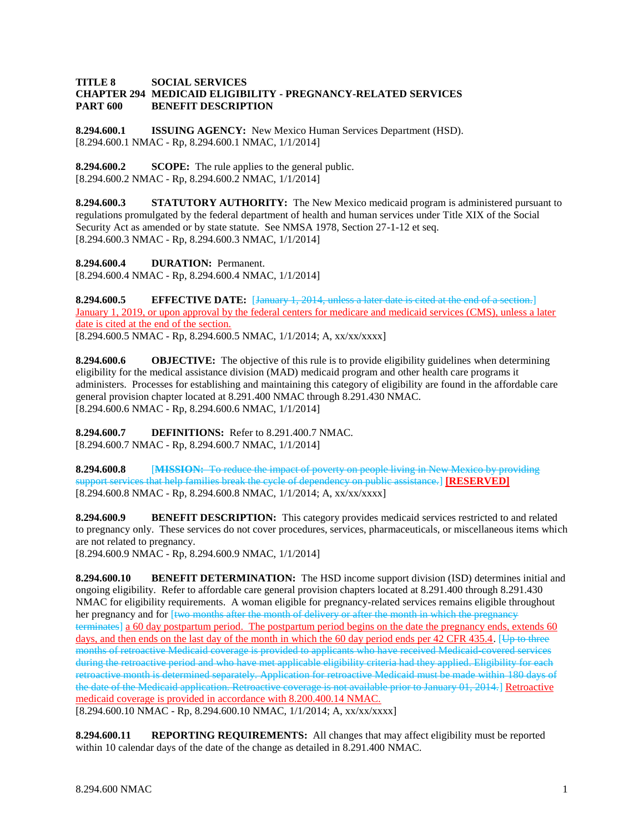## **TITLE 8 SOCIAL SERVICES CHAPTER 294 MEDICAID ELIGIBILITY - PREGNANCY-RELATED SERVICES PART 600 BENEFIT DESCRIPTION**

**8.294.600.1 ISSUING AGENCY:** New Mexico Human Services Department (HSD). [8.294.600.1 NMAC - Rp, 8.294.600.1 NMAC, 1/1/2014]

**8.294.600.2 SCOPE:** The rule applies to the general public. [8.294.600.2 NMAC - Rp, 8.294.600.2 NMAC, 1/1/2014]

**8.294.600.3 STATUTORY AUTHORITY:** The New Mexico medicaid program is administered pursuant to regulations promulgated by the federal department of health and human services under Title XIX of the Social Security Act as amended or by state statute. See NMSA 1978, Section 27-1-12 et seq. [8.294.600.3 NMAC - Rp, 8.294.600.3 NMAC, 1/1/2014]

**8.294.600.4 DURATION:** Permanent. [8.294.600.4 NMAC - Rp, 8.294.600.4 NMAC, 1/1/2014]

**8.294.600.5 EFFECTIVE DATE:** [January 1, 2014, unless a later date is cited at the end of a section.] January 1, 2019, or upon approval by the federal centers for medicare and medicaid services (CMS), unless a later date is cited at the end of the section. [8.294.600.5 NMAC - Rp, 8.294.600.5 NMAC, 1/1/2014; A, xx/xx/xxxx]

**8.294.600.6 OBJECTIVE:** The objective of this rule is to provide eligibility guidelines when determining eligibility for the medical assistance division (MAD) medicaid program and other health care programs it administers. Processes for establishing and maintaining this category of eligibility are found in the affordable care general provision chapter located at 8.291.400 NMAC through 8.291.430 NMAC. [8.294.600.6 NMAC - Rp, 8.294.600.6 NMAC, 1/1/2014]

**8.294.600.7 DEFINITIONS:** Refer to 8.291.400.7 NMAC. [8.294.600.7 NMAC - Rp, 8.294.600.7 NMAC, 1/1/2014]

**8.294.600.8** [**MISSION:** To reduce the impact of poverty on people living in New Mexico by providing support services that help families break the cycle of dependency on public assistance.] **[RESERVED]** [8.294.600.8 NMAC - Rp, 8.294.600.8 NMAC, 1/1/2014; A, xx/xx/xxxx]

**8.294.600.9 BENEFIT DESCRIPTION:** This category provides medicaid services restricted to and related to pregnancy only. These services do not cover procedures, services, pharmaceuticals, or miscellaneous items which are not related to pregnancy. [8.294.600.9 NMAC - Rp, 8.294.600.9 NMAC, 1/1/2014]

**8.294.600.10 BENEFIT DETERMINATION:** The HSD income support division (ISD) determines initial and ongoing eligibility. Refer to affordable care general provision chapters located at 8.291.400 through 8.291.430 NMAC for eligibility requirements. A woman eligible for pregnancy-related services remains eligible throughout her pregnancy and for [two months after the month of delivery or after the month in which the pregnancy terminates] a 60 day postpartum period. The postpartum period begins on the date the pregnancy ends, extends 60 days, and then ends on the last day of the month in which the 60 day period ends per 42 CFR 435.4. [Up to three months of retroactive Medicaid coverage is provided to applicants who have received Medicaid-covered services during the retroactive period and who have met applicable eligibility criteria had they applied. Eligibility for each retroactive month is determined separately. Application for retroactive Medicaid must be made within 180 days of the date of the Medicaid application. Retroactive coverage is not available prior to January 01, 2014.] Retroactive medicaid coverage is provided in accordance with 8.200.400.14 NMAC.

[8.294.600.10 NMAC - Rp, 8.294.600.10 NMAC, 1/1/2014; A, xx/xx/xxxx]

**8.294.600.11 REPORTING REQUIREMENTS:** All changes that may affect eligibility must be reported within 10 calendar days of the date of the change as detailed in 8.291.400 NMAC.